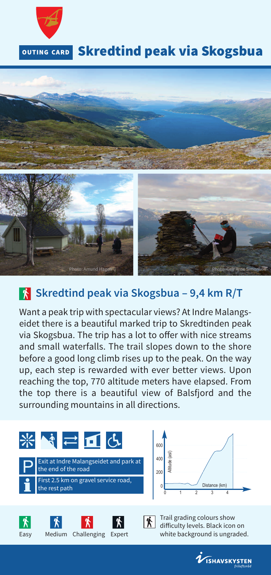



## **Skredtind peak via Skogsbua – 9,4 km R/T**

Want a peak trip with spectacular views? At Indre Malangseidet there is a beautiful marked trip to Skredtinden peak via Skogsbua. The trip has a lot to offer with nice streams and small waterfalls. The trail slopes down to the shore before a good long climb rises up to the peak. On the way up, each step is rewarded with ever better views. Upon reaching the top, 770 altitude meters have elapsed. From the top there is a beautiful view of Balsfjord and the surrounding mountains in all directions.